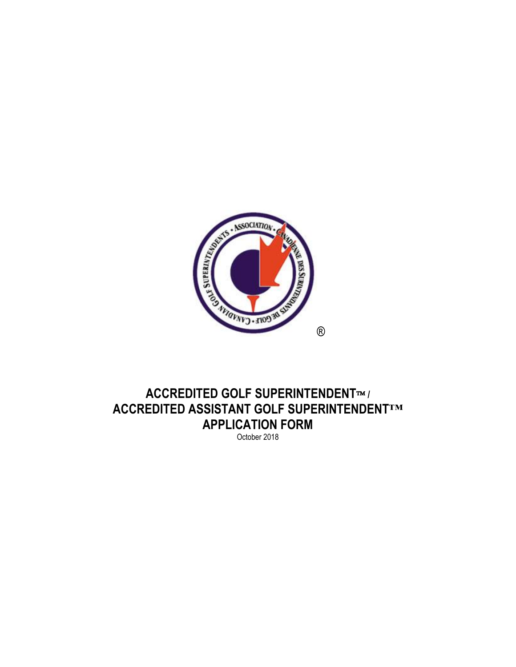

## **ACCREDITED GOLF SUPERINTENDENT™/ ACCREDITED ASSISTANT GOLF SUPERINTENDENT™ APPLICATION FORM**

October 2018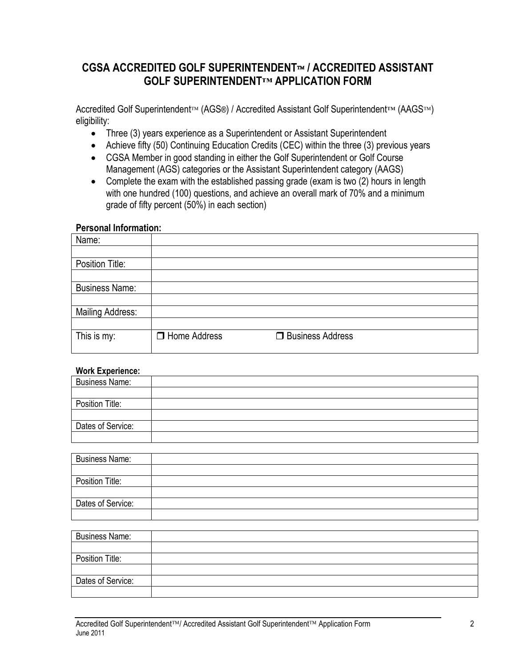## CGSA ACCREDITED GOLF SUPERINTENDENT™ / ACCREDITED ASSISTANT **GOLF SUPERINTENDENT™ APPLICATION FORM**

Accredited Golf Superintendent™ (AGS®) / Accredited Assistant Golf Superintendent™ (AAGS™) eligibility:

- Three (3) years experience as a Superintendent or Assistant Superintendent
- Achieve fifty (50) Continuing Education Credits (CEC) within the three (3) previous years
- CGSA Member in good standing in either the Golf Superintendent or Golf Course Management (AGS) categories or the Assistant Superintendent category (AAGS)
- Complete the exam with the established passing grade (exam is two (2) hours in length with one hundred (100) questions, and achieve an overall mark of 70% and a minimum grade of fifty percent (50%) in each section)

#### **Personal Information:**

| Name:                   |                     |                    |
|-------------------------|---------------------|--------------------|
|                         |                     |                    |
| Position Title:         |                     |                    |
|                         |                     |                    |
| <b>Business Name:</b>   |                     |                    |
|                         |                     |                    |
| <b>Mailing Address:</b> |                     |                    |
|                         |                     |                    |
| This is my:             | $\Box$ Home Address | □ Business Address |
|                         |                     |                    |

### **Work Experience:**

| <b>Business Name:</b> |  |
|-----------------------|--|
|                       |  |
| Position Title:       |  |
|                       |  |
| Dates of Service:     |  |
|                       |  |

| <b>Business Name:</b> |  |
|-----------------------|--|
|                       |  |
| Position Title:       |  |
|                       |  |
| Dates of Service:     |  |
|                       |  |

| <b>Business Name:</b> |  |
|-----------------------|--|
|                       |  |
| Position Title:       |  |
|                       |  |
| Dates of Service:     |  |
|                       |  |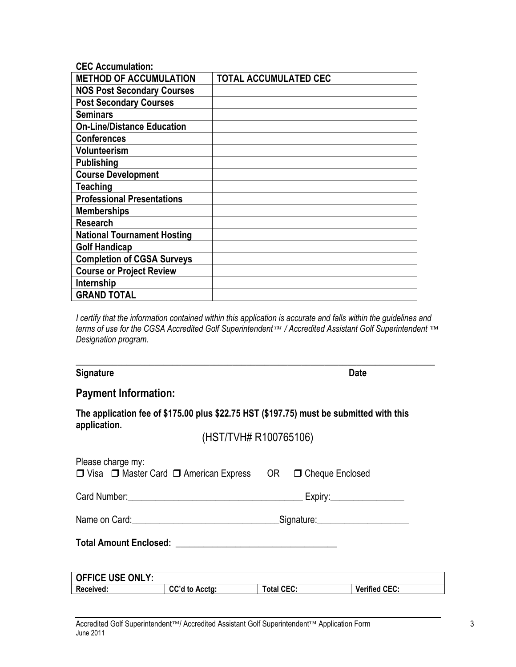| <b>CEC Accumulation:</b>           |                              |
|------------------------------------|------------------------------|
| <b>METHOD OF ACCUMULATION</b>      | <b>TOTAL ACCUMULATED CEC</b> |
| <b>NOS Post Secondary Courses</b>  |                              |
| <b>Post Secondary Courses</b>      |                              |
| <b>Seminars</b>                    |                              |
| <b>On-Line/Distance Education</b>  |                              |
| <b>Conferences</b>                 |                              |
| <b>Volunteerism</b>                |                              |
| <b>Publishing</b>                  |                              |
| <b>Course Development</b>          |                              |
| <b>Teaching</b>                    |                              |
| <b>Professional Presentations</b>  |                              |
| <b>Memberships</b>                 |                              |
| <b>Research</b>                    |                              |
| <b>National Tournament Hosting</b> |                              |
| <b>Golf Handicap</b>               |                              |
| <b>Completion of CGSA Surveys</b>  |                              |
| <b>Course or Project Review</b>    |                              |
| Internship                         |                              |
| <b>GRAND TOTAL</b>                 |                              |

*I certify that the information contained within this application is accurate and falls within the guidelines and terms of use for the CGSA Accredited Golf Superintendent / Accredited Assistant Golf Superintendent ™ Designation program.*

\_\_\_\_\_\_\_\_\_\_\_\_\_\_\_\_\_\_\_\_\_\_\_\_\_\_\_\_\_\_\_\_\_\_\_\_\_\_\_\_\_\_\_\_\_\_\_\_\_\_\_\_\_\_\_\_\_\_\_\_\_\_\_\_\_\_\_\_\_\_\_\_\_\_\_\_\_\_

#### **Signature Date**

### **Payment Information:**

**The application fee of \$175.00 plus \$22.75 HST (\$197.75) must be submitted with this application.**

(HST/TVH# R100765106)

| Please charge my: |                         | □ Visa □ Master Card □ American Express OR □ Cheque Enclosed |                   |                                      |                           |
|-------------------|-------------------------|--------------------------------------------------------------|-------------------|--------------------------------------|---------------------------|
|                   |                         |                                                              |                   |                                      | Expiry:__________________ |
|                   |                         | Name on Card: <u>_________________________________</u>       |                   | Signature: _________________________ |                           |
|                   |                         |                                                              |                   |                                      |                           |
|                   |                         |                                                              |                   |                                      |                           |
|                   | <b>OFFICE USE ONLY:</b> |                                                              |                   |                                      |                           |
| Received:         |                         | CC'd to Acctg:                                               | <b>Total CEC:</b> |                                      | <b>Verified CEC:</b>      |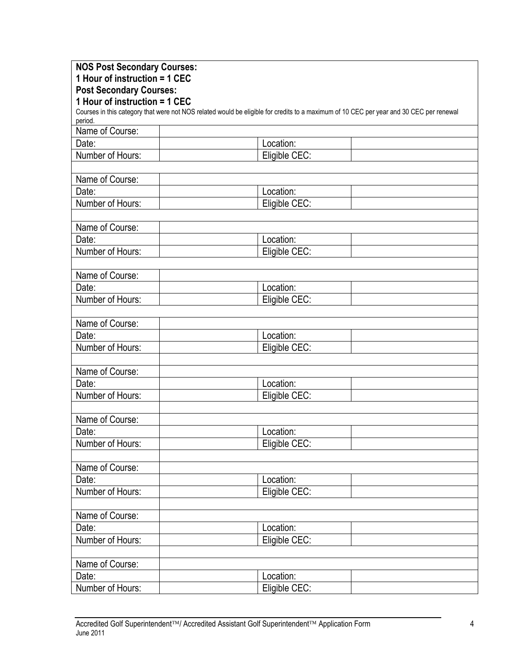| <b>NOS Post Secondary Courses:</b> |                                                                                                                                         |  |
|------------------------------------|-----------------------------------------------------------------------------------------------------------------------------------------|--|
| 1 Hour of instruction = 1 CEC      |                                                                                                                                         |  |
| <b>Post Secondary Courses:</b>     |                                                                                                                                         |  |
| 1 Hour of instruction = 1 CEC      |                                                                                                                                         |  |
| period.                            | Courses in this category that were not NOS related would be eligible for credits to a maximum of 10 CEC per year and 30 CEC per renewal |  |
| Name of Course:                    |                                                                                                                                         |  |
| Date:                              | Location:                                                                                                                               |  |
| Number of Hours:                   | Eligible CEC:                                                                                                                           |  |
| Name of Course:                    |                                                                                                                                         |  |
| Date:                              | Location:                                                                                                                               |  |
| Number of Hours:                   | Eligible CEC:                                                                                                                           |  |
|                                    |                                                                                                                                         |  |
| Name of Course:                    |                                                                                                                                         |  |
| Date:                              | Location:                                                                                                                               |  |
| Number of Hours:                   | Eligible CEC:                                                                                                                           |  |
|                                    |                                                                                                                                         |  |
| Name of Course:                    |                                                                                                                                         |  |
| Date:                              | Location:                                                                                                                               |  |
| Number of Hours:                   | Eligible CEC:                                                                                                                           |  |
|                                    |                                                                                                                                         |  |
| Name of Course:                    |                                                                                                                                         |  |
| Date:                              | Location:                                                                                                                               |  |
| Number of Hours:                   | Eligible CEC:                                                                                                                           |  |
|                                    |                                                                                                                                         |  |
| Name of Course:                    |                                                                                                                                         |  |
| Date:                              | Location:                                                                                                                               |  |
| Number of Hours:                   | Eligible CEC:                                                                                                                           |  |
|                                    |                                                                                                                                         |  |
| Name of Course:                    |                                                                                                                                         |  |
| Date:                              | Location:                                                                                                                               |  |
| Number of Hours:                   | Eligible CEC:                                                                                                                           |  |
| Name of Course:                    |                                                                                                                                         |  |
| Date:                              | Location:                                                                                                                               |  |
| Number of Hours:                   | Eligible CEC:                                                                                                                           |  |
|                                    |                                                                                                                                         |  |
| Name of Course:                    |                                                                                                                                         |  |
| Date:                              | Location:                                                                                                                               |  |
| Number of Hours:                   | Eligible CEC:                                                                                                                           |  |
|                                    |                                                                                                                                         |  |
| Name of Course:                    |                                                                                                                                         |  |
| Date:                              | Location:                                                                                                                               |  |
| Number of Hours:                   | Eligible CEC:                                                                                                                           |  |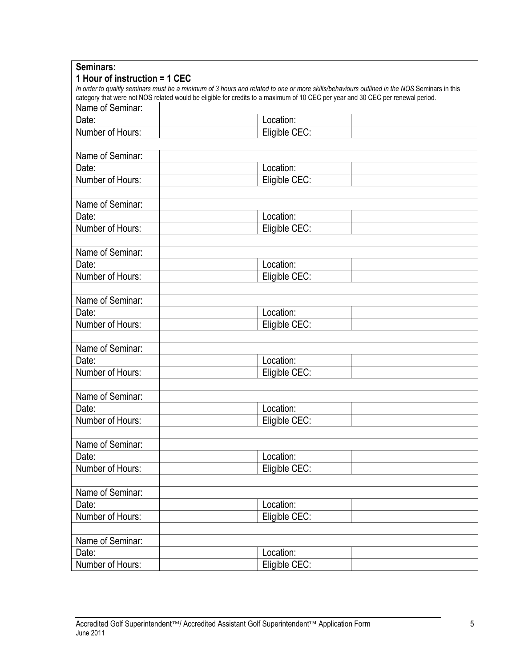| Seminars:                     |                                                                                                                                             |  |
|-------------------------------|---------------------------------------------------------------------------------------------------------------------------------------------|--|
| 1 Hour of instruction = 1 CEC |                                                                                                                                             |  |
|                               | In order to qualify seminars must be a minimum of 3 hours and related to one or more skills/behaviours outlined in the NOS Seminars in this |  |
| Name of Seminar:              | category that were not NOS related would be eligible for credits to a maximum of 10 CEC per year and 30 CEC per renewal period.             |  |
| Date:                         | Location:                                                                                                                                   |  |
| Number of Hours:              |                                                                                                                                             |  |
|                               | Eligible CEC:                                                                                                                               |  |
| Name of Seminar:              |                                                                                                                                             |  |
| Date:                         | Location:                                                                                                                                   |  |
|                               |                                                                                                                                             |  |
| Number of Hours:              | Eligible CEC:                                                                                                                               |  |
| Name of Seminar:              |                                                                                                                                             |  |
| Date:                         | Location:                                                                                                                                   |  |
| Number of Hours:              | Eligible CEC:                                                                                                                               |  |
|                               |                                                                                                                                             |  |
| Name of Seminar:              |                                                                                                                                             |  |
| Date:                         | Location:                                                                                                                                   |  |
| Number of Hours:              | Eligible CEC:                                                                                                                               |  |
|                               |                                                                                                                                             |  |
| Name of Seminar:              |                                                                                                                                             |  |
| Date:                         | Location:                                                                                                                                   |  |
| Number of Hours:              | Eligible CEC:                                                                                                                               |  |
|                               |                                                                                                                                             |  |
| Name of Seminar:              |                                                                                                                                             |  |
| Date:                         | Location:                                                                                                                                   |  |
| Number of Hours:              | Eligible CEC:                                                                                                                               |  |
|                               |                                                                                                                                             |  |
| Name of Seminar:              |                                                                                                                                             |  |
| Date:                         | Location:                                                                                                                                   |  |
| Number of Hours:              | Eligible CEC:                                                                                                                               |  |
|                               |                                                                                                                                             |  |
| Name of Seminar:              |                                                                                                                                             |  |
| Date:                         | Location:                                                                                                                                   |  |
| Number of Hours:              | Eligible CEC:                                                                                                                               |  |
|                               |                                                                                                                                             |  |
| Name of Seminar:              |                                                                                                                                             |  |
| Date:                         | Location:                                                                                                                                   |  |
| Number of Hours:              | Eligible CEC:                                                                                                                               |  |
|                               |                                                                                                                                             |  |
| Name of Seminar:              |                                                                                                                                             |  |
| Date:                         | Location:                                                                                                                                   |  |
| Number of Hours:              | Eligible CEC:                                                                                                                               |  |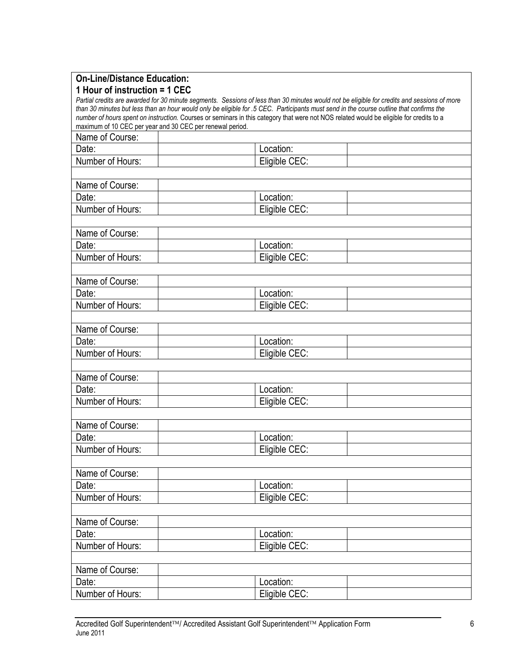| <b>On-Line/Distance Education:</b>                        |                                                                                                                                                                                                                                                                                    |  |
|-----------------------------------------------------------|------------------------------------------------------------------------------------------------------------------------------------------------------------------------------------------------------------------------------------------------------------------------------------|--|
| 1 Hour of instruction = 1 CEC                             |                                                                                                                                                                                                                                                                                    |  |
|                                                           | Partial credits are awarded for 30 minute segments. Sessions of less than 30 minutes would not be eligible for credits and sessions of more                                                                                                                                        |  |
|                                                           | than 30 minutes but less than an hour would only be eligible for .5 CEC. Participants must send in the course outline that confirms the<br>number of hours spent on instruction. Courses or seminars in this category that were not NOS related would be eligible for credits to a |  |
| maximum of 10 CEC per year and 30 CEC per renewal period. |                                                                                                                                                                                                                                                                                    |  |
| Name of Course:                                           |                                                                                                                                                                                                                                                                                    |  |
| Date:                                                     | Location:                                                                                                                                                                                                                                                                          |  |
| Number of Hours:                                          | Eligible CEC:                                                                                                                                                                                                                                                                      |  |
|                                                           |                                                                                                                                                                                                                                                                                    |  |
| Name of Course:                                           |                                                                                                                                                                                                                                                                                    |  |
|                                                           |                                                                                                                                                                                                                                                                                    |  |
| Date:                                                     | Location:                                                                                                                                                                                                                                                                          |  |
| Number of Hours:                                          | Eligible CEC:                                                                                                                                                                                                                                                                      |  |
|                                                           |                                                                                                                                                                                                                                                                                    |  |
| Name of Course:                                           |                                                                                                                                                                                                                                                                                    |  |
| Date:                                                     | Location:                                                                                                                                                                                                                                                                          |  |
| Number of Hours:                                          | Eligible CEC:                                                                                                                                                                                                                                                                      |  |
|                                                           |                                                                                                                                                                                                                                                                                    |  |
| Name of Course:                                           |                                                                                                                                                                                                                                                                                    |  |
| Date:                                                     | Location:                                                                                                                                                                                                                                                                          |  |
| Number of Hours:                                          | Eligible CEC:                                                                                                                                                                                                                                                                      |  |
|                                                           |                                                                                                                                                                                                                                                                                    |  |
| Name of Course:                                           |                                                                                                                                                                                                                                                                                    |  |
| Date:                                                     | Location:                                                                                                                                                                                                                                                                          |  |
| Number of Hours:                                          | Eligible CEC:                                                                                                                                                                                                                                                                      |  |
|                                                           |                                                                                                                                                                                                                                                                                    |  |
| Name of Course:                                           |                                                                                                                                                                                                                                                                                    |  |
| Date:                                                     | Location:                                                                                                                                                                                                                                                                          |  |
| Number of Hours:                                          | Eligible CEC:                                                                                                                                                                                                                                                                      |  |
|                                                           |                                                                                                                                                                                                                                                                                    |  |
| Name of Course:                                           |                                                                                                                                                                                                                                                                                    |  |
| Date:                                                     | Location:                                                                                                                                                                                                                                                                          |  |
| Number of Hours:                                          | Eligible CEC:                                                                                                                                                                                                                                                                      |  |
|                                                           |                                                                                                                                                                                                                                                                                    |  |
| Name of Course:                                           |                                                                                                                                                                                                                                                                                    |  |
| Date:                                                     | Location:                                                                                                                                                                                                                                                                          |  |
| Number of Hours:                                          | Eligible CEC:                                                                                                                                                                                                                                                                      |  |
|                                                           |                                                                                                                                                                                                                                                                                    |  |
| Name of Course:                                           |                                                                                                                                                                                                                                                                                    |  |
| Date:                                                     | Location:                                                                                                                                                                                                                                                                          |  |
| Number of Hours:                                          | Eligible CEC:                                                                                                                                                                                                                                                                      |  |
|                                                           |                                                                                                                                                                                                                                                                                    |  |
| Name of Course:                                           |                                                                                                                                                                                                                                                                                    |  |
| Date:                                                     | Location:                                                                                                                                                                                                                                                                          |  |
| Number of Hours:                                          | Eligible CEC:                                                                                                                                                                                                                                                                      |  |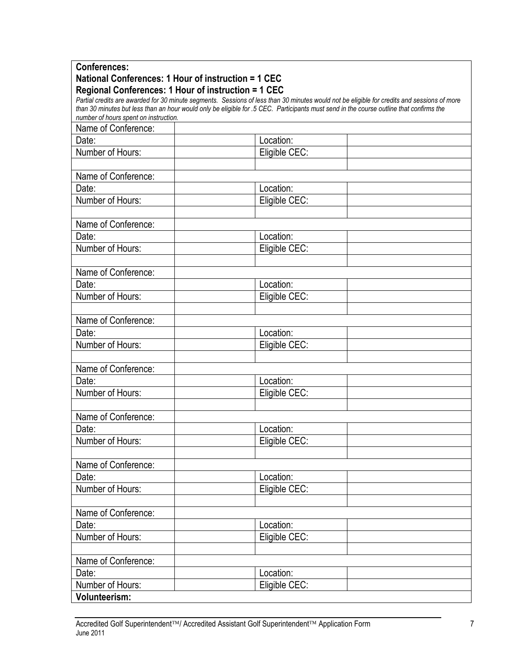| <b>Conferences:</b>                                 |                                                                                                                                             |  |
|-----------------------------------------------------|---------------------------------------------------------------------------------------------------------------------------------------------|--|
| National Conferences: 1 Hour of instruction = 1 CEC |                                                                                                                                             |  |
| Regional Conferences: 1 Hour of instruction = 1 CEC |                                                                                                                                             |  |
|                                                     | Partial credits are awarded for 30 minute segments. Sessions of less than 30 minutes would not be eligible for credits and sessions of more |  |
| number of hours spent on instruction.               | than 30 minutes but less than an hour would only be eligible for .5 CEC. Participants must send in the course outline that confirms the     |  |
| Name of Conference:                                 |                                                                                                                                             |  |
| Date:                                               | Location:                                                                                                                                   |  |
| Number of Hours:                                    | Eligible CEC:                                                                                                                               |  |
|                                                     |                                                                                                                                             |  |
|                                                     |                                                                                                                                             |  |
| Name of Conference:                                 |                                                                                                                                             |  |
| Date:                                               | Location:                                                                                                                                   |  |
| Number of Hours:                                    | Eligible CEC:                                                                                                                               |  |
|                                                     |                                                                                                                                             |  |
| Name of Conference:                                 |                                                                                                                                             |  |
| Date:                                               | Location:                                                                                                                                   |  |
| Number of Hours:                                    | Eligible CEC:                                                                                                                               |  |
|                                                     |                                                                                                                                             |  |
| Name of Conference:                                 |                                                                                                                                             |  |
| Date:                                               | Location:                                                                                                                                   |  |
| Number of Hours:                                    | Eligible CEC:                                                                                                                               |  |
|                                                     |                                                                                                                                             |  |
| Name of Conference:                                 |                                                                                                                                             |  |
| Date:                                               | Location:                                                                                                                                   |  |
| Number of Hours:                                    |                                                                                                                                             |  |
|                                                     | Eligible CEC:                                                                                                                               |  |
|                                                     |                                                                                                                                             |  |
| Name of Conference:                                 |                                                                                                                                             |  |
| Date:                                               | Location:                                                                                                                                   |  |
| Number of Hours:                                    | Eligible CEC:                                                                                                                               |  |
|                                                     |                                                                                                                                             |  |
| Name of Conference:                                 |                                                                                                                                             |  |
| Date:                                               | Location:                                                                                                                                   |  |
| Number of Hours:                                    | Eligible CEC:                                                                                                                               |  |
|                                                     |                                                                                                                                             |  |
| Name of Conference:                                 |                                                                                                                                             |  |
| Date:                                               | Location:                                                                                                                                   |  |
| Number of Hours:                                    | Eligible CEC:                                                                                                                               |  |
|                                                     |                                                                                                                                             |  |
| Name of Conference:                                 |                                                                                                                                             |  |
| Date:                                               | Location:                                                                                                                                   |  |
|                                                     |                                                                                                                                             |  |
| Number of Hours:                                    | Eligible CEC:                                                                                                                               |  |
|                                                     |                                                                                                                                             |  |
| Name of Conference:                                 |                                                                                                                                             |  |
| Date:                                               | Location:                                                                                                                                   |  |
| Number of Hours:                                    | Eligible CEC:                                                                                                                               |  |
| <b>Volunteerism:</b>                                |                                                                                                                                             |  |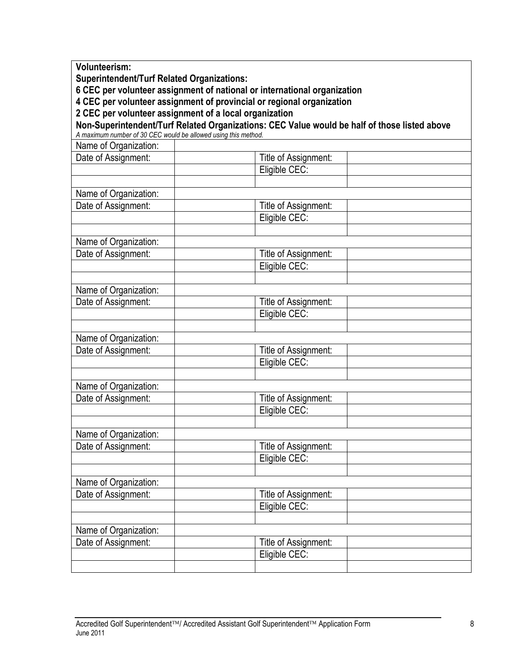**Volunteerism: Superintendent/Turf Related Organizations: 6 CEC per volunteer assignment of national or international organization 4 CEC per volunteer assignment of provincial or regional organization 2 CEC per volunteer assignment of a local organization Non-Superintendent/Turf Related Organizations: CEC Value would be half of those listed above** *A maximum number of 30 CEC would be allowed using this method.*  Name of Organization: Date of Assignment:  $\vert$   $\vert$   $\vert$   $\vert$  Title of Assignment: Eligible CEC: Name of Organization: Date of Assignment:  $\vert$   $\vert$   $\vert$   $\vert$  Title of Assignment: Eligible CEC: Name of Organization: Date of Assignment:  $\vert$   $\vert$   $\vert$   $\vert$   $\vert$  Title of Assignment: Eligible CEC: Name of Organization: Date of Assignment:  $\begin{array}{c|c|c|c|c} & \multicolumn{1}{|c|}{\hline \text{} & \text{} & \text{} \end{array}$  Title of Assignment: Eligible CEC: Name of Organization: Date of Assignment:  $\vert$   $\vert$   $\vert$   $\vert$  Title of Assignment: Eligible CEC: Name of Organization: Date of Assignment: Title of Assignment: Eligible CEC: Name of Organization: Date of Assignment:  $\boxed{\phantom{a}}$  Title of Assignment: Eligible CEC: Name of Organization: Date of Assignment: Title of Assignment: Eligible CEC: Name of Organization: Date of Assignment: Title of Assignment: Eligible CEC: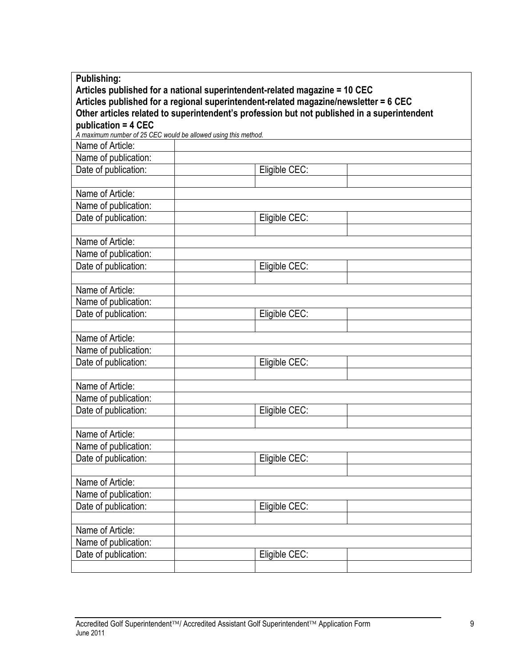| <b>Publishing:</b>                                                                   |                                                                                             |  |
|--------------------------------------------------------------------------------------|---------------------------------------------------------------------------------------------|--|
| Articles published for a national superintendent-related magazine = 10 CEC           |                                                                                             |  |
| Articles published for a regional superintendent-related magazine/newsletter = 6 CEC |                                                                                             |  |
|                                                                                      | Other articles related to superintendent's profession but not published in a superintendent |  |
| publication = 4 CEC                                                                  |                                                                                             |  |
| A maximum number of 25 CEC would be allowed using this method.                       |                                                                                             |  |
| Name of Article:                                                                     |                                                                                             |  |
| Name of publication:                                                                 |                                                                                             |  |
| Date of publication:                                                                 | Eligible CEC:                                                                               |  |
|                                                                                      |                                                                                             |  |
| Name of Article:                                                                     |                                                                                             |  |
| Name of publication:                                                                 |                                                                                             |  |
| Date of publication:                                                                 | Eligible CEC:                                                                               |  |
|                                                                                      |                                                                                             |  |
| Name of Article:                                                                     |                                                                                             |  |
| Name of publication:                                                                 |                                                                                             |  |
| Date of publication:                                                                 | Eligible CEC:                                                                               |  |
|                                                                                      |                                                                                             |  |
| Name of Article:                                                                     |                                                                                             |  |
| Name of publication:                                                                 |                                                                                             |  |
| Date of publication:                                                                 | Eligible CEC:                                                                               |  |
|                                                                                      |                                                                                             |  |
| Name of Article:                                                                     |                                                                                             |  |
| Name of publication:                                                                 |                                                                                             |  |
| Date of publication:                                                                 | Eligible CEC:                                                                               |  |
|                                                                                      |                                                                                             |  |
| Name of Article:                                                                     |                                                                                             |  |
| Name of publication:                                                                 |                                                                                             |  |
| Date of publication:                                                                 | Eligible CEC:                                                                               |  |
|                                                                                      |                                                                                             |  |
| Name of Article:                                                                     |                                                                                             |  |
| Name of publication:                                                                 |                                                                                             |  |
| Date of publication:                                                                 | Eligible CEC:                                                                               |  |
|                                                                                      |                                                                                             |  |
| Name of Article:                                                                     |                                                                                             |  |
| Name of publication:                                                                 |                                                                                             |  |
| Date of publication:                                                                 | Eligible CEC:                                                                               |  |
|                                                                                      |                                                                                             |  |
| Name of Article:                                                                     |                                                                                             |  |
| Name of publication:                                                                 |                                                                                             |  |
| Date of publication:                                                                 | Eligible CEC:                                                                               |  |
|                                                                                      |                                                                                             |  |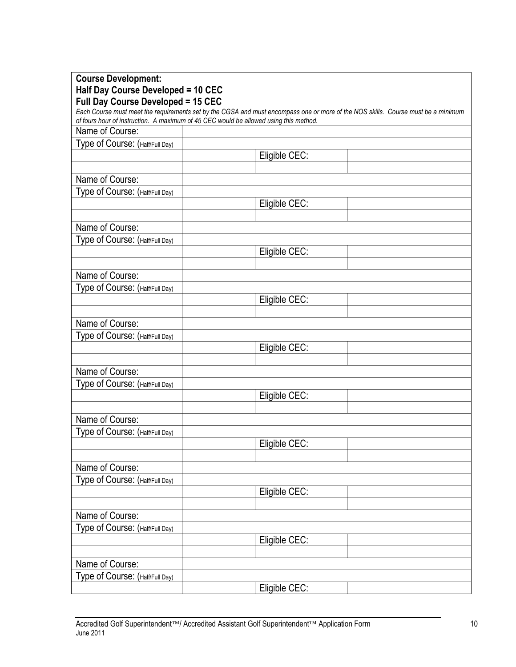| <b>Course Development:</b>         |                                                                                                                                                                                                                            |
|------------------------------------|----------------------------------------------------------------------------------------------------------------------------------------------------------------------------------------------------------------------------|
| Half Day Course Developed = 10 CEC |                                                                                                                                                                                                                            |
| Full Day Course Developed = 15 CEC |                                                                                                                                                                                                                            |
|                                    | Each Course must meet the requirements set by the CGSA and must encompass one or more of the NOS skills. Course must be a minimum<br>of fours hour of instruction. A maximum of 45 CEC would be allowed using this method. |
| Name of Course:                    |                                                                                                                                                                                                                            |
| Type of Course: (Half/Full Day)    |                                                                                                                                                                                                                            |
|                                    | Eligible CEC:                                                                                                                                                                                                              |
|                                    |                                                                                                                                                                                                                            |
| Name of Course:                    |                                                                                                                                                                                                                            |
| Type of Course: (Half/Full Day)    |                                                                                                                                                                                                                            |
|                                    | Eligible CEC:                                                                                                                                                                                                              |
|                                    |                                                                                                                                                                                                                            |
| Name of Course:                    |                                                                                                                                                                                                                            |
| Type of Course: (Half/Full Day)    |                                                                                                                                                                                                                            |
|                                    | Eligible CEC:                                                                                                                                                                                                              |
|                                    |                                                                                                                                                                                                                            |
| Name of Course:                    |                                                                                                                                                                                                                            |
| Type of Course: (Half/Full Day)    |                                                                                                                                                                                                                            |
|                                    | Eligible CEC:                                                                                                                                                                                                              |
|                                    |                                                                                                                                                                                                                            |
| Name of Course:                    |                                                                                                                                                                                                                            |
| Type of Course: (Half/Full Day)    |                                                                                                                                                                                                                            |
|                                    | Eligible CEC:                                                                                                                                                                                                              |
|                                    |                                                                                                                                                                                                                            |
| Name of Course:                    |                                                                                                                                                                                                                            |
| Type of Course: (Half/Full Day)    |                                                                                                                                                                                                                            |
|                                    | Eligible CEC:                                                                                                                                                                                                              |
|                                    |                                                                                                                                                                                                                            |
| Name of Course:                    |                                                                                                                                                                                                                            |
| Type of Course: (Half/Full Day)    |                                                                                                                                                                                                                            |
|                                    | Eligible CEC:                                                                                                                                                                                                              |
|                                    |                                                                                                                                                                                                                            |
| Name of Course:                    |                                                                                                                                                                                                                            |
| Type of Course: (Half/Full Day)    |                                                                                                                                                                                                                            |
|                                    | Eligible CEC:                                                                                                                                                                                                              |
|                                    |                                                                                                                                                                                                                            |
| Name of Course:                    |                                                                                                                                                                                                                            |
| Type of Course: (Half/Full Day)    |                                                                                                                                                                                                                            |
|                                    | Eligible CEC:                                                                                                                                                                                                              |
|                                    |                                                                                                                                                                                                                            |
| Name of Course:                    |                                                                                                                                                                                                                            |
| Type of Course: (Half/Full Day)    |                                                                                                                                                                                                                            |
|                                    | Eligible CEC:                                                                                                                                                                                                              |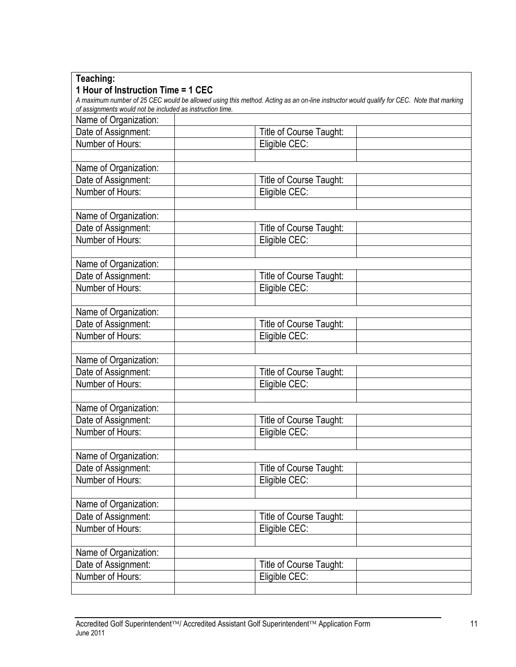| Teaching:                                                 |                                                                                                                                         |  |
|-----------------------------------------------------------|-----------------------------------------------------------------------------------------------------------------------------------------|--|
| 1 Hour of Instruction Time = 1 CEC                        |                                                                                                                                         |  |
|                                                           | A maximum number of 25 CEC would be allowed using this method. Acting as an on-line instructor would qualify for CEC. Note that marking |  |
| of assignments would not be included as instruction time. |                                                                                                                                         |  |
| Name of Organization:                                     |                                                                                                                                         |  |
| Date of Assignment:                                       | Title of Course Taught:                                                                                                                 |  |
| Number of Hours:                                          | Eligible CEC:                                                                                                                           |  |
|                                                           |                                                                                                                                         |  |
| Name of Organization:                                     |                                                                                                                                         |  |
| Date of Assignment:                                       | Title of Course Taught:                                                                                                                 |  |
| Number of Hours:                                          | Eligible CEC:                                                                                                                           |  |
|                                                           |                                                                                                                                         |  |
| Name of Organization:                                     |                                                                                                                                         |  |
| Date of Assignment:                                       | Title of Course Taught:                                                                                                                 |  |
| Number of Hours:                                          | Eligible CEC:                                                                                                                           |  |
|                                                           |                                                                                                                                         |  |
| Name of Organization:                                     |                                                                                                                                         |  |
| Date of Assignment:                                       | Title of Course Taught:                                                                                                                 |  |
| Number of Hours:                                          | Eligible CEC:                                                                                                                           |  |
|                                                           |                                                                                                                                         |  |
| Name of Organization:                                     |                                                                                                                                         |  |
| Date of Assignment:                                       | Title of Course Taught:                                                                                                                 |  |
| Number of Hours:                                          | Eligible CEC:                                                                                                                           |  |
|                                                           |                                                                                                                                         |  |
| Name of Organization:                                     |                                                                                                                                         |  |
| Date of Assignment:                                       | Title of Course Taught:                                                                                                                 |  |
| Number of Hours:                                          | Eligible CEC:                                                                                                                           |  |
|                                                           |                                                                                                                                         |  |
| Name of Organization:                                     |                                                                                                                                         |  |
| Date of Assignment:                                       | Title of Course Taught:                                                                                                                 |  |
| Number of Hours:                                          | Eligible CEC:                                                                                                                           |  |
|                                                           |                                                                                                                                         |  |
| Name of Organization:                                     |                                                                                                                                         |  |
| Date of Assignment:                                       | Title of Course Taught:                                                                                                                 |  |
| Number of Hours:                                          | Eligible CEC:                                                                                                                           |  |
|                                                           |                                                                                                                                         |  |
| Name of Organization:                                     |                                                                                                                                         |  |
| Date of Assignment:                                       | Title of Course Taught:                                                                                                                 |  |
| Number of Hours:                                          | Eligible CEC:                                                                                                                           |  |
|                                                           |                                                                                                                                         |  |
| Name of Organization:                                     |                                                                                                                                         |  |
| Date of Assignment:                                       | Title of Course Taught:                                                                                                                 |  |
| Number of Hours:                                          | Eligible CEC:                                                                                                                           |  |
|                                                           |                                                                                                                                         |  |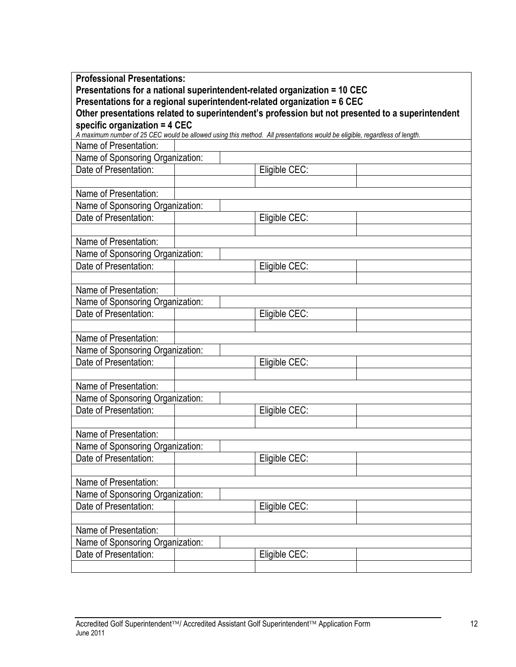| <b>Professional Presentations:</b>                                        |                                                                                                                           |  |
|---------------------------------------------------------------------------|---------------------------------------------------------------------------------------------------------------------------|--|
| Presentations for a national superintendent-related organization = 10 CEC |                                                                                                                           |  |
| Presentations for a regional superintendent-related organization = 6 CEC  | Other presentations related to superintendent's profession but not presented to a superintendent                          |  |
| specific organization = 4 CEC                                             |                                                                                                                           |  |
|                                                                           | A maximum number of 25 CEC would be allowed using this method. All presentations would be eligible, regardless of length. |  |
| Name of Presentation:                                                     |                                                                                                                           |  |
| Name of Sponsoring Organization:                                          |                                                                                                                           |  |
| Date of Presentation:                                                     | Eligible CEC:                                                                                                             |  |
|                                                                           |                                                                                                                           |  |
| Name of Presentation:                                                     |                                                                                                                           |  |
| Name of Sponsoring Organization:                                          |                                                                                                                           |  |
| Date of Presentation:                                                     | Eligible CEC:                                                                                                             |  |
|                                                                           |                                                                                                                           |  |
| Name of Presentation:                                                     |                                                                                                                           |  |
| Name of Sponsoring Organization:                                          |                                                                                                                           |  |
| Date of Presentation:                                                     | Eligible CEC:                                                                                                             |  |
|                                                                           |                                                                                                                           |  |
| Name of Presentation:                                                     |                                                                                                                           |  |
| Name of Sponsoring Organization:                                          |                                                                                                                           |  |
| Date of Presentation:                                                     | Eligible CEC:                                                                                                             |  |
|                                                                           |                                                                                                                           |  |
| Name of Presentation:                                                     |                                                                                                                           |  |
| Name of Sponsoring Organization:                                          |                                                                                                                           |  |
| Date of Presentation:                                                     | Eligible CEC:                                                                                                             |  |
|                                                                           |                                                                                                                           |  |
| Name of Presentation:                                                     |                                                                                                                           |  |
| Name of Sponsoring Organization:                                          |                                                                                                                           |  |
| Date of Presentation:                                                     | Eligible CEC:                                                                                                             |  |
|                                                                           |                                                                                                                           |  |
| Name of Presentation:                                                     |                                                                                                                           |  |
| Name of Sponsoring Organization:                                          |                                                                                                                           |  |
| Date of Presentation:                                                     | Eligible CEC:                                                                                                             |  |
|                                                                           |                                                                                                                           |  |
| Name of Presentation:                                                     |                                                                                                                           |  |
| Name of Sponsoring Organization:                                          |                                                                                                                           |  |
| Date of Presentation:                                                     | Eligible CEC:                                                                                                             |  |
|                                                                           |                                                                                                                           |  |
| Name of Presentation:                                                     |                                                                                                                           |  |
| Name of Sponsoring Organization:                                          |                                                                                                                           |  |
| Date of Presentation:                                                     | Eligible CEC:                                                                                                             |  |
|                                                                           |                                                                                                                           |  |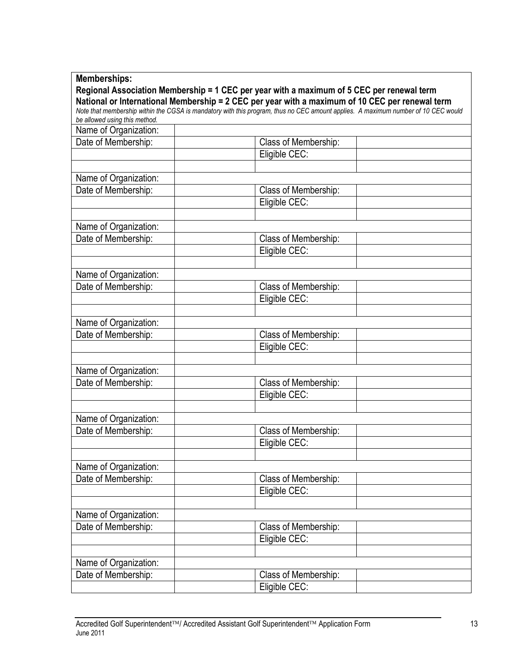| Regional Association Membership = 1 CEC per year with a maximum of 5 CEC per renewal term<br>National or International Membership = 2 CEC per year with a maximum of 10 CEC per renewal term<br>Note that membership within the CGSA is mandatory with this program, thus no CEC amount applies. A maximum number of 10 CEC would<br>be allowed using this method.<br>Name of Organization:<br>Date of Membership:<br>Class of Membership:<br>Eligible CEC:<br>Name of Organization:<br>Date of Membership:<br>Class of Membership:<br>Eligible CEC:<br>Name of Organization:<br>Date of Membership:<br>Class of Membership:<br>Eligible CEC:<br>Name of Organization:<br>Date of Membership:<br>Class of Membership:<br>Eligible CEC:<br>Name of Organization:<br>Date of Membership:<br>Class of Membership:<br>Eligible CEC:<br>Name of Organization:<br>Date of Membership:<br>Class of Membership:<br>Eligible CEC:<br>Name of Organization:<br>Date of Membership:<br>Class of Membership:<br>Eligible CEC:<br>Name of Organization:<br>Date of Membership:<br>Class of Membership:<br>Eligible CEC:<br>Name of Organization:<br>Date of Membership:<br>Class of Membership:<br>Eligible CEC:<br>Name of Organization:<br>Date of Membership:<br>Class of Membership:<br>Eligible CEC: | <b>Memberships:</b> |  |
|----------------------------------------------------------------------------------------------------------------------------------------------------------------------------------------------------------------------------------------------------------------------------------------------------------------------------------------------------------------------------------------------------------------------------------------------------------------------------------------------------------------------------------------------------------------------------------------------------------------------------------------------------------------------------------------------------------------------------------------------------------------------------------------------------------------------------------------------------------------------------------------------------------------------------------------------------------------------------------------------------------------------------------------------------------------------------------------------------------------------------------------------------------------------------------------------------------------------------------------------------------------------------------------------|---------------------|--|
|                                                                                                                                                                                                                                                                                                                                                                                                                                                                                                                                                                                                                                                                                                                                                                                                                                                                                                                                                                                                                                                                                                                                                                                                                                                                                              |                     |  |
|                                                                                                                                                                                                                                                                                                                                                                                                                                                                                                                                                                                                                                                                                                                                                                                                                                                                                                                                                                                                                                                                                                                                                                                                                                                                                              |                     |  |
|                                                                                                                                                                                                                                                                                                                                                                                                                                                                                                                                                                                                                                                                                                                                                                                                                                                                                                                                                                                                                                                                                                                                                                                                                                                                                              |                     |  |
|                                                                                                                                                                                                                                                                                                                                                                                                                                                                                                                                                                                                                                                                                                                                                                                                                                                                                                                                                                                                                                                                                                                                                                                                                                                                                              |                     |  |
|                                                                                                                                                                                                                                                                                                                                                                                                                                                                                                                                                                                                                                                                                                                                                                                                                                                                                                                                                                                                                                                                                                                                                                                                                                                                                              |                     |  |
|                                                                                                                                                                                                                                                                                                                                                                                                                                                                                                                                                                                                                                                                                                                                                                                                                                                                                                                                                                                                                                                                                                                                                                                                                                                                                              |                     |  |
|                                                                                                                                                                                                                                                                                                                                                                                                                                                                                                                                                                                                                                                                                                                                                                                                                                                                                                                                                                                                                                                                                                                                                                                                                                                                                              |                     |  |
|                                                                                                                                                                                                                                                                                                                                                                                                                                                                                                                                                                                                                                                                                                                                                                                                                                                                                                                                                                                                                                                                                                                                                                                                                                                                                              |                     |  |
|                                                                                                                                                                                                                                                                                                                                                                                                                                                                                                                                                                                                                                                                                                                                                                                                                                                                                                                                                                                                                                                                                                                                                                                                                                                                                              |                     |  |
|                                                                                                                                                                                                                                                                                                                                                                                                                                                                                                                                                                                                                                                                                                                                                                                                                                                                                                                                                                                                                                                                                                                                                                                                                                                                                              |                     |  |
|                                                                                                                                                                                                                                                                                                                                                                                                                                                                                                                                                                                                                                                                                                                                                                                                                                                                                                                                                                                                                                                                                                                                                                                                                                                                                              |                     |  |
|                                                                                                                                                                                                                                                                                                                                                                                                                                                                                                                                                                                                                                                                                                                                                                                                                                                                                                                                                                                                                                                                                                                                                                                                                                                                                              |                     |  |
|                                                                                                                                                                                                                                                                                                                                                                                                                                                                                                                                                                                                                                                                                                                                                                                                                                                                                                                                                                                                                                                                                                                                                                                                                                                                                              |                     |  |
|                                                                                                                                                                                                                                                                                                                                                                                                                                                                                                                                                                                                                                                                                                                                                                                                                                                                                                                                                                                                                                                                                                                                                                                                                                                                                              |                     |  |
|                                                                                                                                                                                                                                                                                                                                                                                                                                                                                                                                                                                                                                                                                                                                                                                                                                                                                                                                                                                                                                                                                                                                                                                                                                                                                              |                     |  |
|                                                                                                                                                                                                                                                                                                                                                                                                                                                                                                                                                                                                                                                                                                                                                                                                                                                                                                                                                                                                                                                                                                                                                                                                                                                                                              |                     |  |
|                                                                                                                                                                                                                                                                                                                                                                                                                                                                                                                                                                                                                                                                                                                                                                                                                                                                                                                                                                                                                                                                                                                                                                                                                                                                                              |                     |  |
|                                                                                                                                                                                                                                                                                                                                                                                                                                                                                                                                                                                                                                                                                                                                                                                                                                                                                                                                                                                                                                                                                                                                                                                                                                                                                              |                     |  |
|                                                                                                                                                                                                                                                                                                                                                                                                                                                                                                                                                                                                                                                                                                                                                                                                                                                                                                                                                                                                                                                                                                                                                                                                                                                                                              |                     |  |
|                                                                                                                                                                                                                                                                                                                                                                                                                                                                                                                                                                                                                                                                                                                                                                                                                                                                                                                                                                                                                                                                                                                                                                                                                                                                                              |                     |  |
|                                                                                                                                                                                                                                                                                                                                                                                                                                                                                                                                                                                                                                                                                                                                                                                                                                                                                                                                                                                                                                                                                                                                                                                                                                                                                              |                     |  |
|                                                                                                                                                                                                                                                                                                                                                                                                                                                                                                                                                                                                                                                                                                                                                                                                                                                                                                                                                                                                                                                                                                                                                                                                                                                                                              |                     |  |
|                                                                                                                                                                                                                                                                                                                                                                                                                                                                                                                                                                                                                                                                                                                                                                                                                                                                                                                                                                                                                                                                                                                                                                                                                                                                                              |                     |  |
|                                                                                                                                                                                                                                                                                                                                                                                                                                                                                                                                                                                                                                                                                                                                                                                                                                                                                                                                                                                                                                                                                                                                                                                                                                                                                              |                     |  |
|                                                                                                                                                                                                                                                                                                                                                                                                                                                                                                                                                                                                                                                                                                                                                                                                                                                                                                                                                                                                                                                                                                                                                                                                                                                                                              |                     |  |
|                                                                                                                                                                                                                                                                                                                                                                                                                                                                                                                                                                                                                                                                                                                                                                                                                                                                                                                                                                                                                                                                                                                                                                                                                                                                                              |                     |  |
|                                                                                                                                                                                                                                                                                                                                                                                                                                                                                                                                                                                                                                                                                                                                                                                                                                                                                                                                                                                                                                                                                                                                                                                                                                                                                              |                     |  |
|                                                                                                                                                                                                                                                                                                                                                                                                                                                                                                                                                                                                                                                                                                                                                                                                                                                                                                                                                                                                                                                                                                                                                                                                                                                                                              |                     |  |
|                                                                                                                                                                                                                                                                                                                                                                                                                                                                                                                                                                                                                                                                                                                                                                                                                                                                                                                                                                                                                                                                                                                                                                                                                                                                                              |                     |  |
|                                                                                                                                                                                                                                                                                                                                                                                                                                                                                                                                                                                                                                                                                                                                                                                                                                                                                                                                                                                                                                                                                                                                                                                                                                                                                              |                     |  |
|                                                                                                                                                                                                                                                                                                                                                                                                                                                                                                                                                                                                                                                                                                                                                                                                                                                                                                                                                                                                                                                                                                                                                                                                                                                                                              |                     |  |
|                                                                                                                                                                                                                                                                                                                                                                                                                                                                                                                                                                                                                                                                                                                                                                                                                                                                                                                                                                                                                                                                                                                                                                                                                                                                                              |                     |  |
|                                                                                                                                                                                                                                                                                                                                                                                                                                                                                                                                                                                                                                                                                                                                                                                                                                                                                                                                                                                                                                                                                                                                                                                                                                                                                              |                     |  |
|                                                                                                                                                                                                                                                                                                                                                                                                                                                                                                                                                                                                                                                                                                                                                                                                                                                                                                                                                                                                                                                                                                                                                                                                                                                                                              |                     |  |
|                                                                                                                                                                                                                                                                                                                                                                                                                                                                                                                                                                                                                                                                                                                                                                                                                                                                                                                                                                                                                                                                                                                                                                                                                                                                                              |                     |  |
|                                                                                                                                                                                                                                                                                                                                                                                                                                                                                                                                                                                                                                                                                                                                                                                                                                                                                                                                                                                                                                                                                                                                                                                                                                                                                              |                     |  |
|                                                                                                                                                                                                                                                                                                                                                                                                                                                                                                                                                                                                                                                                                                                                                                                                                                                                                                                                                                                                                                                                                                                                                                                                                                                                                              |                     |  |
|                                                                                                                                                                                                                                                                                                                                                                                                                                                                                                                                                                                                                                                                                                                                                                                                                                                                                                                                                                                                                                                                                                                                                                                                                                                                                              |                     |  |
|                                                                                                                                                                                                                                                                                                                                                                                                                                                                                                                                                                                                                                                                                                                                                                                                                                                                                                                                                                                                                                                                                                                                                                                                                                                                                              |                     |  |
|                                                                                                                                                                                                                                                                                                                                                                                                                                                                                                                                                                                                                                                                                                                                                                                                                                                                                                                                                                                                                                                                                                                                                                                                                                                                                              |                     |  |
|                                                                                                                                                                                                                                                                                                                                                                                                                                                                                                                                                                                                                                                                                                                                                                                                                                                                                                                                                                                                                                                                                                                                                                                                                                                                                              |                     |  |
|                                                                                                                                                                                                                                                                                                                                                                                                                                                                                                                                                                                                                                                                                                                                                                                                                                                                                                                                                                                                                                                                                                                                                                                                                                                                                              |                     |  |
|                                                                                                                                                                                                                                                                                                                                                                                                                                                                                                                                                                                                                                                                                                                                                                                                                                                                                                                                                                                                                                                                                                                                                                                                                                                                                              |                     |  |
|                                                                                                                                                                                                                                                                                                                                                                                                                                                                                                                                                                                                                                                                                                                                                                                                                                                                                                                                                                                                                                                                                                                                                                                                                                                                                              |                     |  |
|                                                                                                                                                                                                                                                                                                                                                                                                                                                                                                                                                                                                                                                                                                                                                                                                                                                                                                                                                                                                                                                                                                                                                                                                                                                                                              |                     |  |
|                                                                                                                                                                                                                                                                                                                                                                                                                                                                                                                                                                                                                                                                                                                                                                                                                                                                                                                                                                                                                                                                                                                                                                                                                                                                                              |                     |  |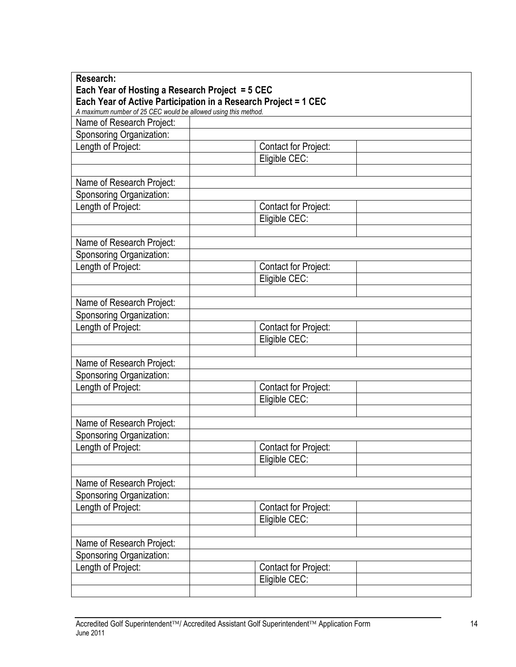| Research:<br>Each Year of Hosting a Research Project = 5 CEC    |                             |  |
|-----------------------------------------------------------------|-----------------------------|--|
| Each Year of Active Participation in a Research Project = 1 CEC |                             |  |
| A maximum number of 25 CEC would be allowed using this method.  |                             |  |
| Name of Research Project:                                       |                             |  |
| Sponsoring Organization:                                        |                             |  |
| Length of Project:                                              | <b>Contact for Project:</b> |  |
|                                                                 | Eligible CEC:               |  |
|                                                                 |                             |  |
| Name of Research Project:                                       |                             |  |
| Sponsoring Organization:                                        |                             |  |
| Length of Project:                                              | <b>Contact for Project:</b> |  |
|                                                                 | Eligible CEC:               |  |
|                                                                 |                             |  |
| Name of Research Project:                                       |                             |  |
| Sponsoring Organization:                                        |                             |  |
| Length of Project:                                              | <b>Contact for Project:</b> |  |
|                                                                 | Eligible CEC:               |  |
|                                                                 |                             |  |
| Name of Research Project:                                       |                             |  |
| Sponsoring Organization:                                        |                             |  |
| Length of Project:                                              | <b>Contact for Project:</b> |  |
|                                                                 | Eligible CEC:               |  |
|                                                                 |                             |  |
| Name of Research Project:                                       |                             |  |
| Sponsoring Organization:                                        |                             |  |
| Length of Project:                                              | <b>Contact for Project:</b> |  |
|                                                                 | Eligible CEC:               |  |
|                                                                 |                             |  |
| Name of Research Project:                                       |                             |  |
| Sponsoring Organization:                                        |                             |  |
| Length of Project:                                              | Contact for Project:        |  |
|                                                                 | Eligible CEC:               |  |
|                                                                 |                             |  |
| Name of Research Project:                                       |                             |  |
| Sponsoring Organization:                                        |                             |  |
| Length of Project:                                              | <b>Contact for Project:</b> |  |
|                                                                 | Eligible CEC:               |  |
|                                                                 |                             |  |
| Name of Research Project:                                       |                             |  |
| Sponsoring Organization:                                        |                             |  |
| Length of Project:                                              | <b>Contact for Project:</b> |  |
|                                                                 | Eligible CEC:               |  |
|                                                                 |                             |  |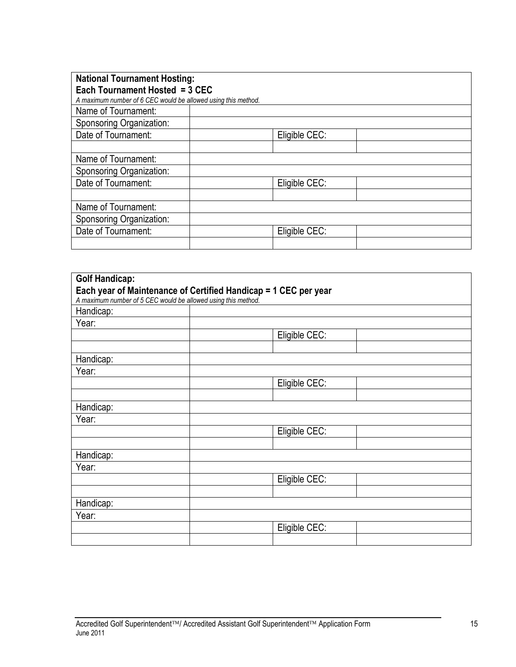| <b>National Tournament Hosting:</b>                           |               |  |
|---------------------------------------------------------------|---------------|--|
| Each Tournament Hosted = 3 CEC                                |               |  |
| A maximum number of 6 CEC would be allowed using this method. |               |  |
| Name of Tournament:                                           |               |  |
| Sponsoring Organization:                                      |               |  |
| Date of Tournament:                                           | Eligible CEC: |  |
|                                                               |               |  |
| Name of Tournament:                                           |               |  |
| Sponsoring Organization:                                      |               |  |
| Date of Tournament:                                           | Eligible CEC: |  |
|                                                               |               |  |
| Name of Tournament:                                           |               |  |
| Sponsoring Organization:                                      |               |  |
| Date of Tournament:                                           | Eligible CEC: |  |
|                                                               |               |  |

| <b>Golf Handicap:</b>                                         |                                                                 |  |
|---------------------------------------------------------------|-----------------------------------------------------------------|--|
|                                                               | Each year of Maintenance of Certified Handicap = 1 CEC per year |  |
| A maximum number of 5 CEC would be allowed using this method. |                                                                 |  |
| Handicap:                                                     |                                                                 |  |
| Year:                                                         |                                                                 |  |
|                                                               | Eligible CEC:                                                   |  |
|                                                               |                                                                 |  |
| Handicap:                                                     |                                                                 |  |
| Year:                                                         |                                                                 |  |
|                                                               | Eligible CEC:                                                   |  |
|                                                               |                                                                 |  |
| Handicap:                                                     |                                                                 |  |
| Year:                                                         |                                                                 |  |
|                                                               | Eligible CEC:                                                   |  |
|                                                               |                                                                 |  |
| Handicap:                                                     |                                                                 |  |
| Year:                                                         |                                                                 |  |
|                                                               | Eligible CEC:                                                   |  |
|                                                               |                                                                 |  |
| Handicap:                                                     |                                                                 |  |
| Year:                                                         |                                                                 |  |
|                                                               | Eligible CEC:                                                   |  |
|                                                               |                                                                 |  |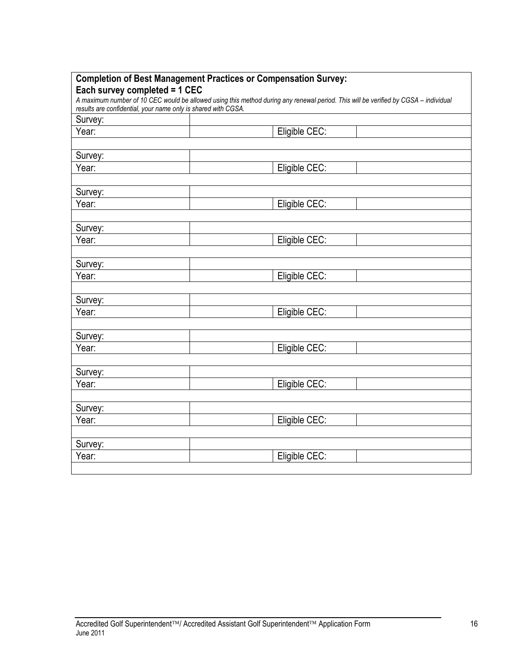|                                                                                                                                                                                                      | <b>Completion of Best Management Practices or Compensation Survey:</b> |  |
|------------------------------------------------------------------------------------------------------------------------------------------------------------------------------------------------------|------------------------------------------------------------------------|--|
| Each survey completed = 1 CEC                                                                                                                                                                        |                                                                        |  |
| A maximum number of 10 CEC would be allowed using this method during any renewal period. This will be verified by CGSA - individual<br>results are confidential, your name only is shared with CGSA. |                                                                        |  |
| Survey:                                                                                                                                                                                              |                                                                        |  |
| Year:                                                                                                                                                                                                | Eligible CEC:                                                          |  |
|                                                                                                                                                                                                      |                                                                        |  |
| Survey:                                                                                                                                                                                              |                                                                        |  |
| Year:                                                                                                                                                                                                | Eligible CEC:                                                          |  |
|                                                                                                                                                                                                      |                                                                        |  |
| Survey:                                                                                                                                                                                              |                                                                        |  |
| Year:                                                                                                                                                                                                | Eligible CEC:                                                          |  |
|                                                                                                                                                                                                      |                                                                        |  |
| Survey:                                                                                                                                                                                              |                                                                        |  |
| Year:                                                                                                                                                                                                | Eligible CEC:                                                          |  |
|                                                                                                                                                                                                      |                                                                        |  |
| Survey:                                                                                                                                                                                              |                                                                        |  |
| Year:                                                                                                                                                                                                | Eligible CEC:                                                          |  |
|                                                                                                                                                                                                      |                                                                        |  |
| Survey:                                                                                                                                                                                              |                                                                        |  |
| Year:                                                                                                                                                                                                | Eligible CEC:                                                          |  |
|                                                                                                                                                                                                      |                                                                        |  |
| Survey:                                                                                                                                                                                              |                                                                        |  |
| Year:                                                                                                                                                                                                | Eligible CEC:                                                          |  |
|                                                                                                                                                                                                      |                                                                        |  |
| Survey:                                                                                                                                                                                              |                                                                        |  |
| Year:                                                                                                                                                                                                | Eligible CEC:                                                          |  |
|                                                                                                                                                                                                      |                                                                        |  |
| Survey:                                                                                                                                                                                              |                                                                        |  |
| Year:                                                                                                                                                                                                | Eligible CEC:                                                          |  |
|                                                                                                                                                                                                      |                                                                        |  |
| Survey:                                                                                                                                                                                              |                                                                        |  |
| Year:                                                                                                                                                                                                | Eligible CEC:                                                          |  |
|                                                                                                                                                                                                      |                                                                        |  |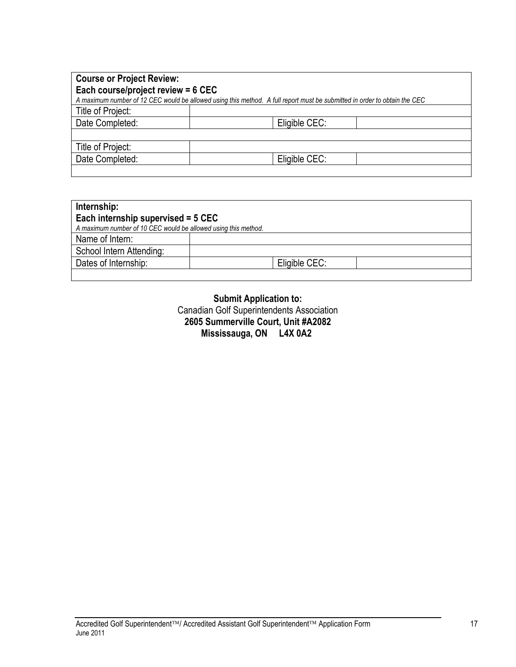| <b>Course or Project Review:</b><br>Each course/project review = 6 CEC<br>A maximum number of 12 CEC would be allowed using this method. A full report must be submitted in order to obtain the CEC |               |  |
|-----------------------------------------------------------------------------------------------------------------------------------------------------------------------------------------------------|---------------|--|
| Title of Project:                                                                                                                                                                                   |               |  |
| Date Completed:                                                                                                                                                                                     | Eligible CEC: |  |
|                                                                                                                                                                                                     |               |  |
| Title of Project:                                                                                                                                                                                   |               |  |
| Date Completed:                                                                                                                                                                                     | Eligible CEC: |  |
|                                                                                                                                                                                                     |               |  |

| Internship:                                                    |               |  |
|----------------------------------------------------------------|---------------|--|
| Each internship supervised = 5 CEC                             |               |  |
| A maximum number of 10 CEC would be allowed using this method. |               |  |
| Name of Intern:                                                |               |  |
| School Intern Attending:                                       |               |  |
| Dates of Internship:                                           | Eligible CEC: |  |
|                                                                |               |  |

**Submit Application to:** Canadian Golf Superintendents Association **2605 Summerville Court, Unit #A2082 Mississauga, ON L4X 0A2**